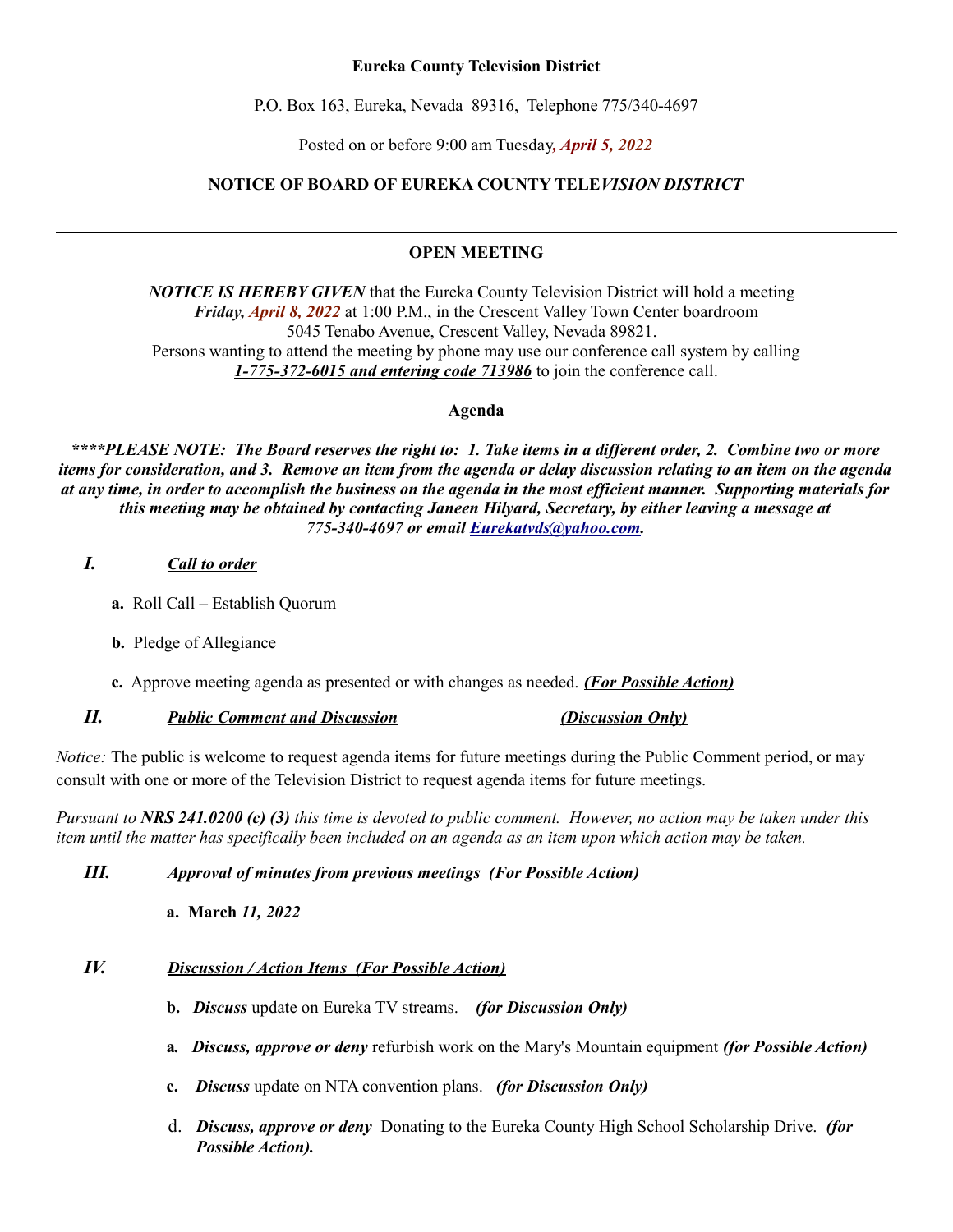## **Eureka County Television District**

P.O. Box 163, Eureka, Nevada 89316, Telephone 775/340-4697

Posted on or before 9:00 am Tuesday*, April 5, 2022*

# **NOTICE OF BOARD OF EUREKA COUNTY TELE***VISION DISTRICT*

## **OPEN MEETING**

*NOTICE IS HEREBY GIVEN* that the Eureka County Television District will hold a meeting *Friday, April 8, 2022* at 1:00 P.M., in the Crescent Valley Town Center boardroom 5045 Tenabo Avenue, Crescent Valley, Nevada 89821. Persons wanting to attend the meeting by phone may use our conference call system by calling *1-775-372-6015 and entering code 713986* to join the conference call.

**Agenda**

*\*\*\*\*PLEASE NOTE: The Board reserves the right to: 1. Take items in a different order, 2. Combine two or more items for consideration, and 3. Remove an item from the agenda or delay discussion relating to an item on the agenda at any time, in order to accomplish the business on the agenda in the most efficient manner. Supporting materials for this meeting may be obtained by contacting Janeen Hilyard, Secretary, by either leaving a message at 775-340-4697 or email [Eurekatvds@yahoo.com.](mailto:Eurekatvds@yahoo.com)*

## *I. Call to order*

- **a.** Roll Call Establish Quorum
- **b.** Pledge of Allegiance
- **c.** Approve meeting agenda as presented or with changes as needed. *(For Possible Action)*

## *II. Public Comment and Discussion (Discussion Only)*

*Notice:* The public is welcome to request agenda items for future meetings during the Public Comment period, or may consult with one or more of the Television District to request agenda items for future meetings.

*Pursuant to NRS 241.0200 (c) (3) this time is devoted to public comment. However, no action may be taken under this*  item until the matter has specifically been included on an agenda as an item upon which action may be taken.

#### *III. Approval of minutes from previous meetings (For Possible Action)*

**a. March** *11, 2022*

# *IV. Discussion / Action Items (For Possible Action)*

- **b.** *Discuss* update on Eureka TV streams. *(for Discussion Only)*
- **a***. Discuss, approve or deny* refurbish work on the Mary's Mountain equipment *(for Possible Action)*
- **c.** *Discuss* update on NTA convention plans. *(for Discussion Only)*
- d. *Discuss, approve or deny* Donating to the Eureka County High School Scholarship Drive. *(for Possible Action).*